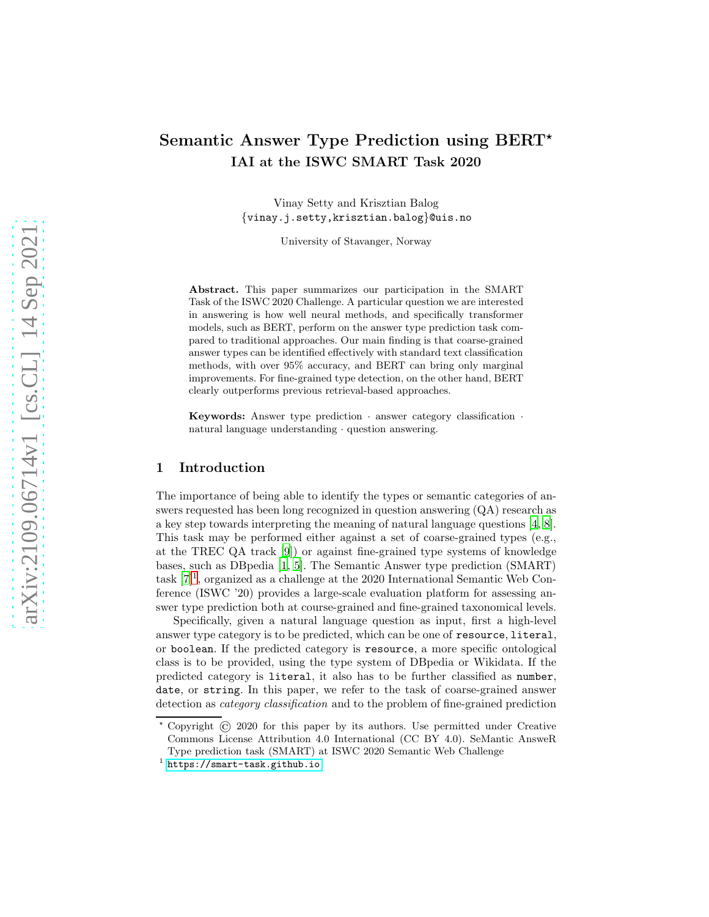# Semantic Answer Type Prediction using BERT<sup>\*</sup> IAI at the ISWC SMART Task 2020

Vinay Setty and Krisztian Balog {vinay.j.setty,krisztian.balog}@uis.no

University of Stavanger, Norway

Abstract. This paper summarizes our participation in the SMART Task of the ISWC 2020 Challenge. A particular question we are interested in answering is how well neural methods, and specifically transformer models, such as BERT, perform on the answer type prediction task compared to traditional approaches. Our main finding is that coarse-grained answer types can be identified effectively with standard text classification methods, with over 95% accuracy, and BERT can bring only marginal improvements. For fine-grained type detection, on the other hand, BERT clearly outperforms previous retrieval-based approaches.

**Keywords:** Answer type prediction  $\cdot$  answer category classification natural language understanding · question answering.

## 1 Introduction

The importance of being able to identify the types or semantic categories of answers requested has been long recognized in question answering (QA) research as a key step towards interpreting the meaning of natural language questions [\[4,](#page-8-0) [8](#page-8-1)]. This task may be performed either against a set of coarse-grained types (e.g., at the TREC QA track [\[9](#page-8-2)]) or against fine-grained type systems of knowledge bases, such as DBpedia [\[1](#page-8-3), [5](#page-8-4)]. The Semantic Answer type prediction (SMART) task  $[7]^1$  $[7]^1$ , organized as a challenge at the 2020 International Semantic Web Conference (ISWC '20) provides a large-scale evaluation platform for assessing answer type prediction both at course-grained and fine-grained taxonomical levels.

Specifically, given a natural language question as input, first a high-level answer type category is to be predicted, which can be one of resource, literal, or boolean. If the predicted category is resource, a more specific ontological class is to be provided, using the type system of DBpedia or Wikidata. If the predicted category is literal, it also has to be further classified as number, date, or string. In this paper, we refer to the task of coarse-grained answer detection as *category classification* and to the problem of fine-grained prediction

<sup>⋆</sup> Copyright © 2020 for this paper by its authors. Use permitted under Creative Commons License Attribution 4.0 International (CC BY 4.0). SeMantic AnsweR Type prediction task (SMART) at ISWC 2020 Semantic Web Challenge

<span id="page-0-0"></span><sup>1</sup> <https://smart-task.github.io>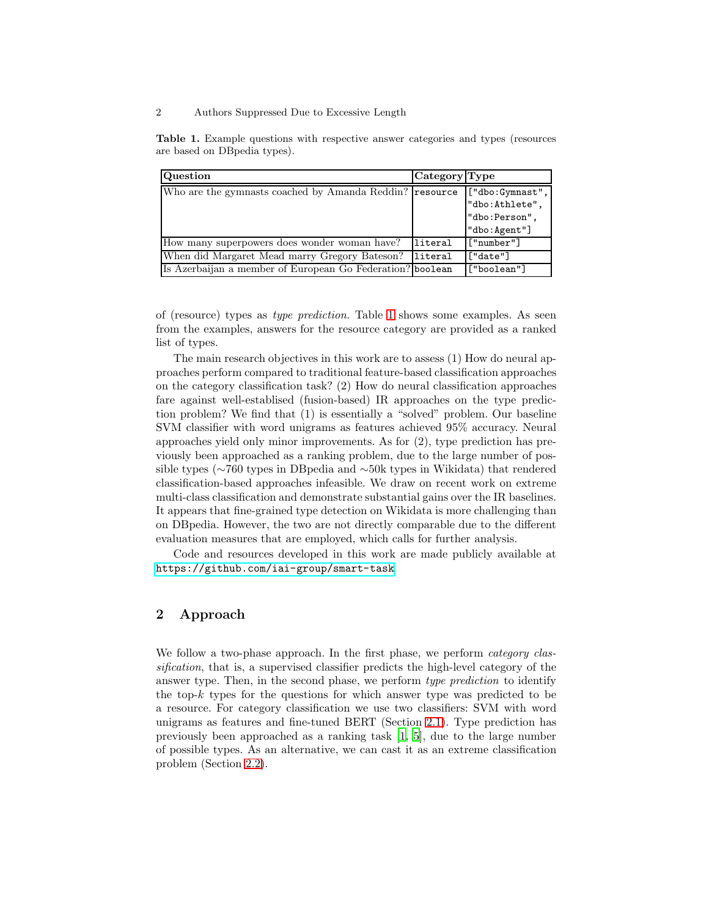#### 2 Authors Suppressed Due to Excessive Length

<span id="page-1-0"></span>Table 1. Example questions with respective answer categories and types (resources are based on DBpedia types).

| Question                                                  | Category Type |                 |  |
|-----------------------------------------------------------|---------------|-----------------|--|
| Who are the gymnasts coached by Amanda Reddin? resource   |               | ["dbo:Gymnast", |  |
|                                                           |               | "dbo:Athlete",  |  |
|                                                           |               | "dbo:Person",   |  |
|                                                           |               | "dbo:Agent"]    |  |
| How many superpowers does wonder woman have?              | literal       | ["number"]      |  |
| When did Margaret Mead marry Gregory Bateson?             | literal       | ["date"]        |  |
| Is Azerbaijan a member of European Go Federation? boolean |               | ["boolean"]     |  |

of (resource) types as *type prediction*. Table [1](#page-1-0) shows some examples. As seen from the examples, answers for the resource category are provided as a ranked list of types.

The main research objectives in this work are to assess (1) How do neural approaches perform compared to traditional feature-based classification approaches on the category classification task? (2) How do neural classification approaches fare against well-establised (fusion-based) IR approaches on the type prediction problem? We find that (1) is essentially a "solved" problem. Our baseline SVM classifier with word unigrams as features achieved 95% accuracy. Neural approaches yield only minor improvements. As for (2), type prediction has previously been approached as a ranking problem, due to the large number of possible types (∼760 types in DBpedia and ∼50k types in Wikidata) that rendered classification-based approaches infeasible. We draw on recent work on extreme multi-class classification and demonstrate substantial gains over the IR baselines. It appears that fine-grained type detection on Wikidata is more challenging than on DBpedia. However, the two are not directly comparable due to the different evaluation measures that are employed, which calls for further analysis.

Code and resources developed in this work are made publicly available at <https://github.com/iai-group/smart-task>.

# 2 Approach

We follow a two-phase approach. In the first phase, we perform *category classification*, that is, a supervised classifier predicts the high-level category of the answer type. Then, in the second phase, we perform *type prediction* to identify the top- $k$  types for the questions for which answer type was predicted to be a resource. For category classification we use two classifiers: SVM with word unigrams as features and fine-tuned BERT (Section [2.1\)](#page-2-0). Type prediction has previously been approached as a ranking task [\[1](#page-8-3), [5](#page-8-4)], due to the large number of possible types. As an alternative, we can cast it as an extreme classification problem (Section [2.2\)](#page-2-1).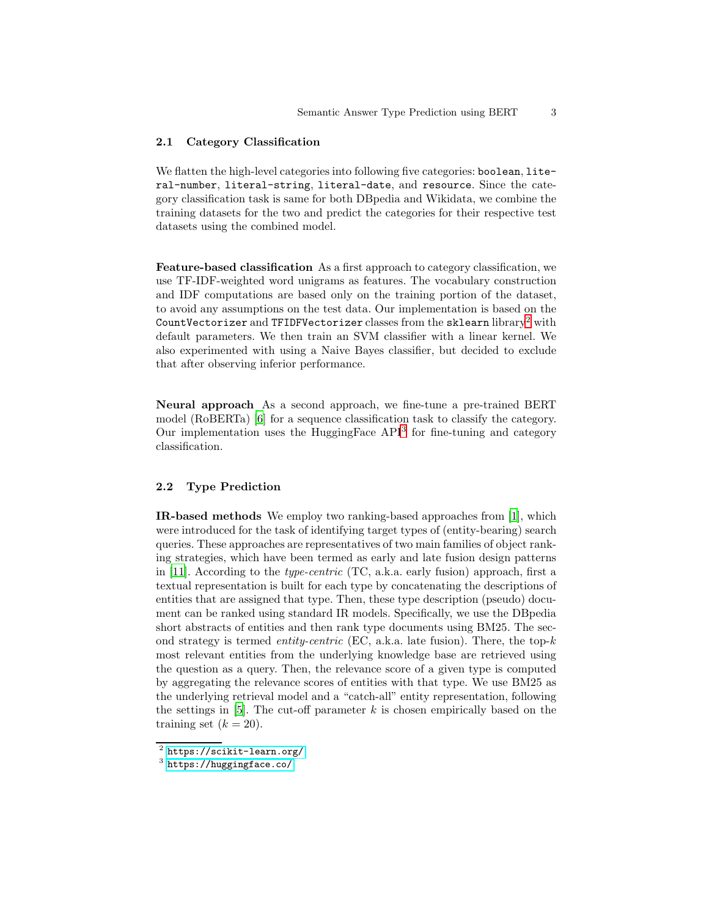## <span id="page-2-0"></span>2.1 Category Classification

We flatten the high-level categories into following five categories: boolean, literal-number, literal-string, literal-date, and resource. Since the category classification task is same for both DBpedia and Wikidata, we combine the training datasets for the two and predict the categories for their respective test datasets using the combined model.

Feature-based classification As a first approach to category classification, we use TF-IDF-weighted word unigrams as features. The vocabulary construction and IDF computations are based only on the training portion of the dataset, to avoid any assumptions on the test data. Our implementation is based on the CountVectorizer and TFIDFVectorizer classes from the sklearn library<sup>[2](#page-2-2)</sup> with default parameters. We then train an SVM classifier with a linear kernel. We also experimented with using a Naive Bayes classifier, but decided to exclude that after observing inferior performance.

Neural approach As a second approach, we fine-tune a pre-trained BERT model (RoBERTa) [\[6](#page-8-6)] for a sequence classification task to classify the category. Our implementation uses the HuggingFace API<sup>[3](#page-2-3)</sup> for fine-tuning and category classification.

## <span id="page-2-1"></span>2.2 Type Prediction

IR-based methods We employ two ranking-based approaches from [\[1\]](#page-8-3), which were introduced for the task of identifying target types of (entity-bearing) search queries. These approaches are representatives of two main families of object ranking strategies, which have been termed as early and late fusion design patterns in [\[11](#page-8-7)]. According to the *type-centric* (TC, a.k.a. early fusion) approach, first a textual representation is built for each type by concatenating the descriptions of entities that are assigned that type. Then, these type description (pseudo) document can be ranked using standard IR models. Specifically, we use the DBpedia short abstracts of entities and then rank type documents using BM25. The second strategy is termed *entity-centric* (EC, a.k.a. late fusion). There, the top-k most relevant entities from the underlying knowledge base are retrieved using the question as a query. Then, the relevance score of a given type is computed by aggregating the relevance scores of entities with that type. We use BM25 as the underlying retrieval model and a "catch-all" entity representation, following the settings in [\[5\]](#page-8-4). The cut-off parameter  $k$  is chosen empirically based on the training set  $(k = 20)$ .

 $^2$  <https://scikit-learn.org/>

<span id="page-2-3"></span><span id="page-2-2"></span><sup>3</sup> <https://huggingface.co/>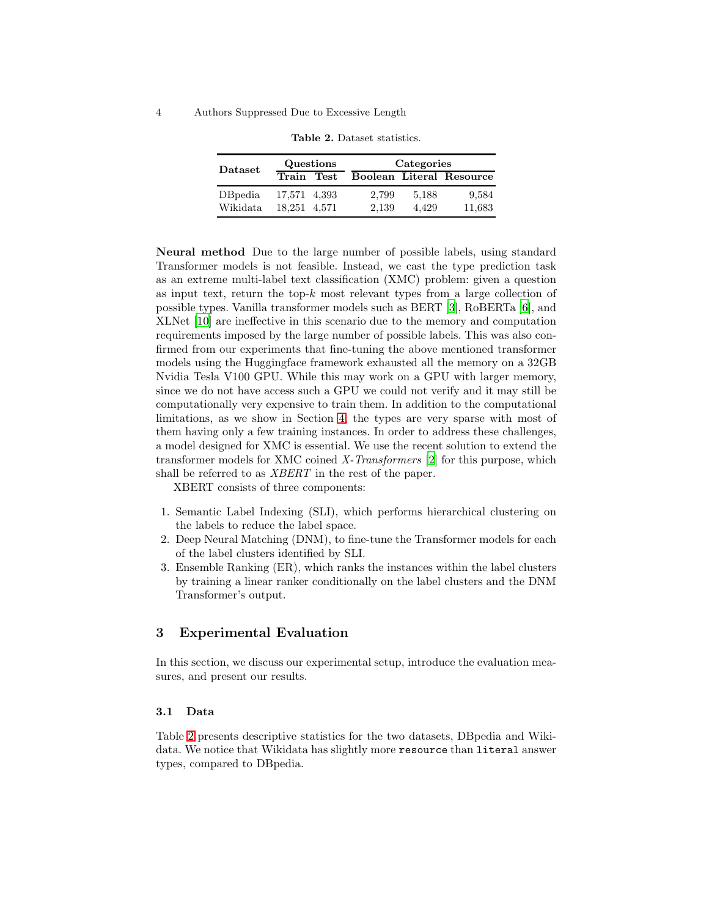#### 4 Authors Suppressed Due to Excessive Length

| Dataset             | Questions                    |  | Categories     |                |                          |
|---------------------|------------------------------|--|----------------|----------------|--------------------------|
|                     | Train Test                   |  |                |                | Boolean Literal Resource |
| DBpedia<br>Wikidata | 17,571 4,393<br>18.251 4.571 |  | 2,799<br>2.139 | 5,188<br>4.429 | 9,584<br>11,683          |

<span id="page-3-0"></span>Table 2. Dataset statistics.

Neural method Due to the large number of possible labels, using standard Transformer models is not feasible. Instead, we cast the type prediction task as an extreme multi-label text classification (XMC) problem: given a question as input text, return the top- $k$  most relevant types from a large collection of possible types. Vanilla transformer models such as BERT [\[3\]](#page-8-8), RoBERTa [\[6](#page-8-6)], and XLNet [\[10](#page-8-9)] are ineffective in this scenario due to the memory and computation requirements imposed by the large number of possible labels. This was also confirmed from our experiments that fine-tuning the above mentioned transformer models using the Huggingface framework exhausted all the memory on a 32GB Nvidia Tesla V100 GPU. While this may work on a GPU with larger memory, since we do not have access such a GPU we could not verify and it may still be computationally very expensive to train them. In addition to the computational limitations, as we show in Section [4,](#page-6-0) the types are very sparse with most of them having only a few training instances. In order to address these challenges, a model designed for XMC is essential. We use the recent solution to extend the transformer models for XMC coined *X-Transformers* [\[2](#page-8-10)] for this purpose, which shall be referred to as *XBERT* in the rest of the paper.

XBERT consists of three components:

- 1. Semantic Label Indexing (SLI), which performs hierarchical clustering on the labels to reduce the label space.
- 2. Deep Neural Matching (DNM), to fine-tune the Transformer models for each of the label clusters identified by SLI.
- 3. Ensemble Ranking (ER), which ranks the instances within the label clusters by training a linear ranker conditionally on the label clusters and the DNM Transformer's output.

# 3 Experimental Evaluation

In this section, we discuss our experimental setup, introduce the evaluation measures, and present our results.

## 3.1 Data

Table [2](#page-3-0) presents descriptive statistics for the two datasets, DBpedia and Wikidata. We notice that Wikidata has slightly more resource than literal answer types, compared to DBpedia.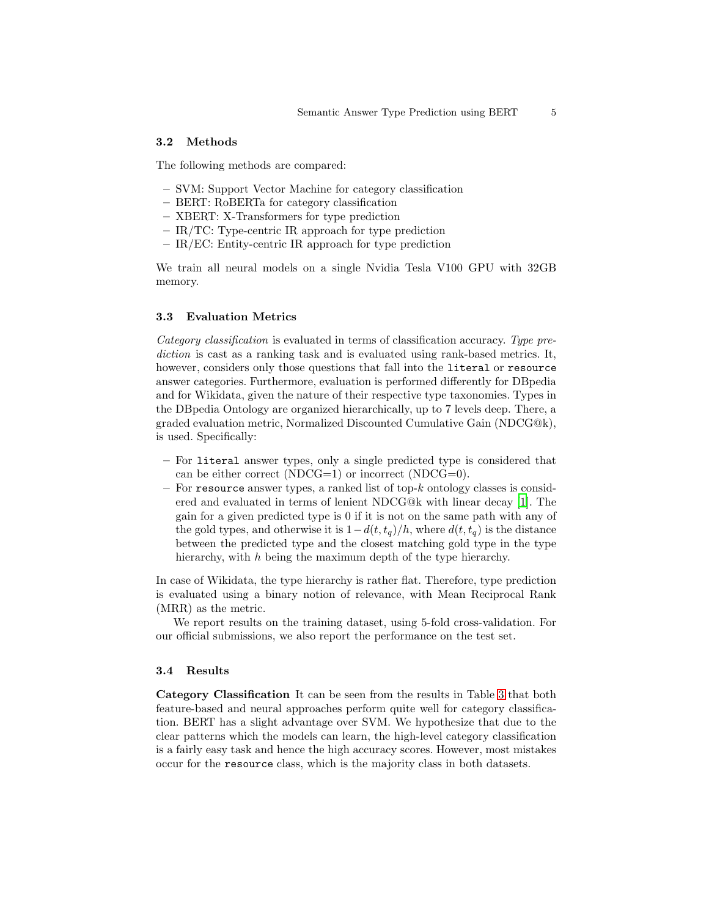## 3.2 Methods

The following methods are compared:

- SVM: Support Vector Machine for category classification
- BERT: RoBERTa for category classification
- XBERT: X-Transformers for type prediction
- IR/TC: Type-centric IR approach for type prediction
- IR/EC: Entity-centric IR approach for type prediction

We train all neural models on a single Nvidia Tesla V100 GPU with 32GB memory.

## 3.3 Evaluation Metrics

*Category classification* is evaluated in terms of classification accuracy. *Type prediction* is cast as a ranking task and is evaluated using rank-based metrics. It, however, considers only those questions that fall into the literal or resource answer categories. Furthermore, evaluation is performed differently for DBpedia and for Wikidata, given the nature of their respective type taxonomies. Types in the DBpedia Ontology are organized hierarchically, up to 7 levels deep. There, a graded evaluation metric, Normalized Discounted Cumulative Gain (NDCG@k), is used. Specifically:

- For literal answer types, only a single predicted type is considered that can be either correct (NDCG=1) or incorrect (NDCG=0).
- $-$  For resource answer types, a ranked list of top-k ontology classes is considered and evaluated in terms of lenient NDCG@k with linear decay [\[1](#page-8-3)]. The gain for a given predicted type is 0 if it is not on the same path with any of the gold types, and otherwise it is  $1-d(t, t_q)/h$ , where  $d(t, t_q)$  is the distance between the predicted type and the closest matching gold type in the type hierarchy, with h being the maximum depth of the type hierarchy.

In case of Wikidata, the type hierarchy is rather flat. Therefore, type prediction is evaluated using a binary notion of relevance, with Mean Reciprocal Rank (MRR) as the metric.

We report results on the training dataset, using 5-fold cross-validation. For our official submissions, we also report the performance on the test set.

#### 3.4 Results

Category Classification It can be seen from the results in Table [3](#page-5-0) that both feature-based and neural approaches perform quite well for category classification. BERT has a slight advantage over SVM. We hypothesize that due to the clear patterns which the models can learn, the high-level category classification is a fairly easy task and hence the high accuracy scores. However, most mistakes occur for the resource class, which is the majority class in both datasets.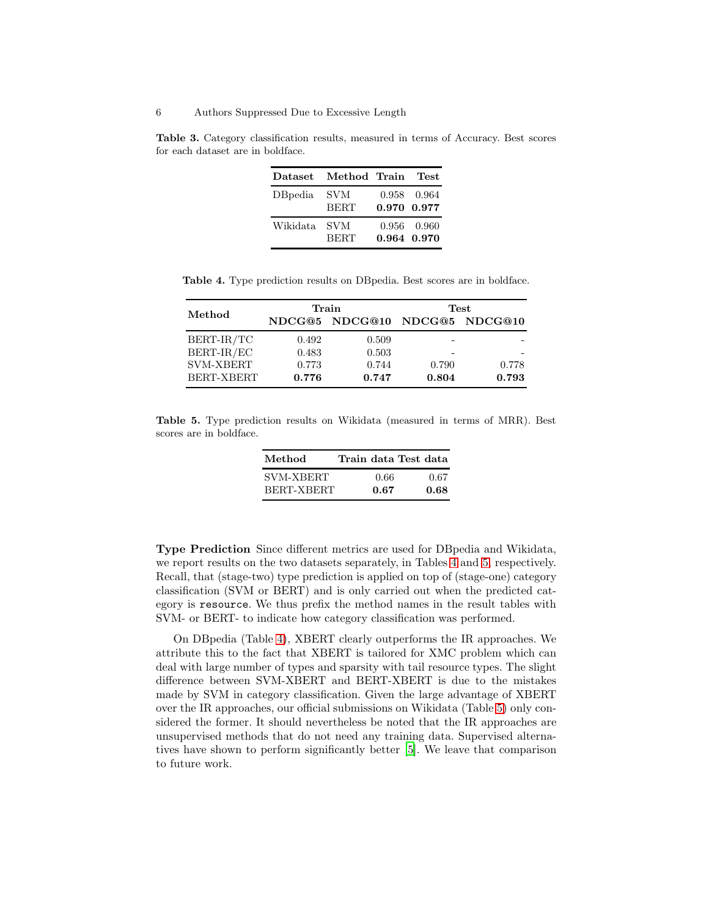<span id="page-5-0"></span>Table 3. Category classification results, measured in terms of Accuracy. Best scores for each dataset are in boldface.

| Dataset  | Method Train       |             | Test        |
|----------|--------------------|-------------|-------------|
| DBpedia  | SVM<br><b>BERT</b> | 0.970 0.977 | 0.958 0.964 |
| Wikidata | SVM<br><b>BERT</b> | 0.964 0.970 | 0.956 0.960 |

Table 4. Type prediction results on DBpedia. Best scores are in boldface.

<span id="page-5-1"></span>

|                  | Train |                               | Test  |       |  |
|------------------|-------|-------------------------------|-------|-------|--|
| Method           |       | NDCG@5 NDCG@10 NDCG@5 NDCG@10 |       |       |  |
| BERT-IR/TC       | 0.492 | 0.509                         |       |       |  |
| BERT-IR/EC       | 0.483 | 0.503                         |       |       |  |
| <b>SVM-XBERT</b> | 0.773 | 0.744                         | 0.790 | 0.778 |  |
| BERT-XBERT       | 0.776 | 0.747                         | 0.804 | 0.793 |  |

<span id="page-5-2"></span>Table 5. Type prediction results on Wikidata (measured in terms of MRR). Best scores are in boldface.

| Method     | Train data Test data |      |
|------------|----------------------|------|
| SVM-XBERT  | 0.66                 | 0.67 |
| BERT-XBERT | 0.67                 | 0.68 |

Type Prediction Since different metrics are used for DBpedia and Wikidata, we report results on the two datasets separately, in Tables [4](#page-5-1) and [5,](#page-5-2) respectively. Recall, that (stage-two) type prediction is applied on top of (stage-one) category classification (SVM or BERT) and is only carried out when the predicted category is resource. We thus prefix the method names in the result tables with SVM- or BERT- to indicate how category classification was performed.

On DBpedia (Table [4\)](#page-5-1), XBERT clearly outperforms the IR approaches. We attribute this to the fact that XBERT is tailored for XMC problem which can deal with large number of types and sparsity with tail resource types. The slight difference between SVM-XBERT and BERT-XBERT is due to the mistakes made by SVM in category classification. Given the large advantage of XBERT over the IR approaches, our official submissions on Wikidata (Table [5\)](#page-5-2) only considered the former. It should nevertheless be noted that the IR approaches are unsupervised methods that do not need any training data. Supervised alternatives have shown to perform significantly better [\[5](#page-8-4)]. We leave that comparison to future work.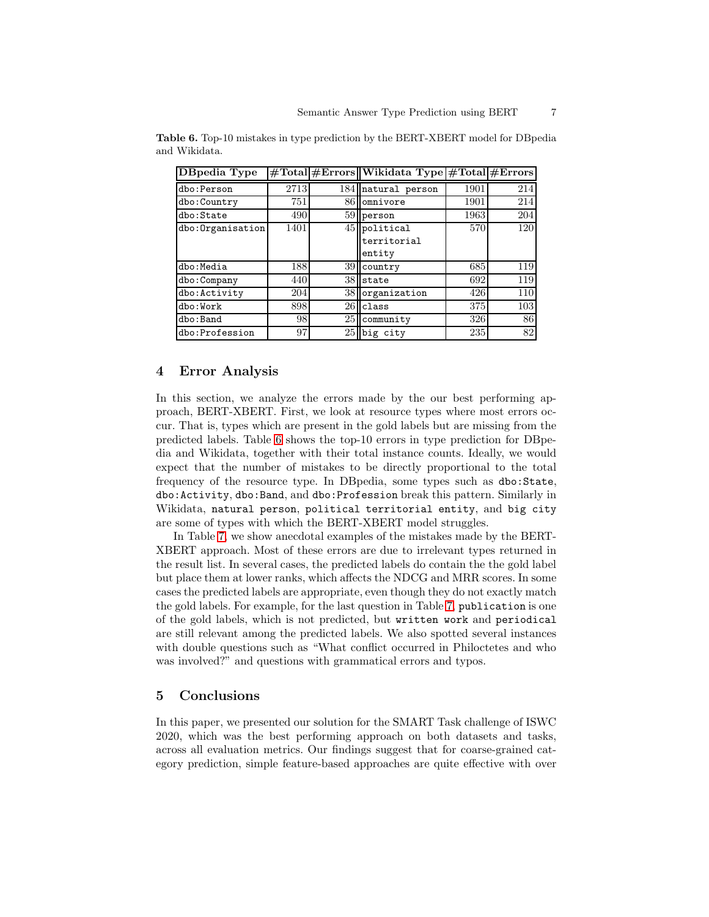<span id="page-6-1"></span>

| DBpedia Type      |      |     | #Total #Errors  Wikidata Type #Total #Errors |      |     |
|-------------------|------|-----|----------------------------------------------|------|-----|
| dbo:Person        | 2713 | 184 | natural person                               | 1901 | 214 |
| dbo: Country      | 751  | 86  | omnivore                                     | 1901 | 214 |
| dbo:State         | 490  |     | $59$ person                                  | 1963 | 204 |
| dbo: Organisation | 1401 |     | $45$ political                               | 570  | 120 |
|                   |      |     | territorial                                  |      |     |
|                   |      |     | entity                                       |      |     |
| dbo:Media         | 188  | 39  | country                                      | 685  | 119 |
| dbo: Company      | 440  | 38  | state                                        | 692  | 119 |
| dbo: Activity     | 204  | 38  | organization                                 | 426  | 110 |
| dbo:Work          | 898  | 26  | class                                        | 375  | 103 |
| dbo:Band          | 98   | 25  | community                                    | 326  | 86  |
| dbo: Profession   | 97   | 25  | big city                                     | 235  | 82  |

Table 6. Top-10 mistakes in type prediction by the BERT-XBERT model for DBpedia and Wikidata.

## <span id="page-6-0"></span>4 Error Analysis

In this section, we analyze the errors made by the our best performing approach, BERT-XBERT. First, we look at resource types where most errors occur. That is, types which are present in the gold labels but are missing from the predicted labels. Table [6](#page-6-1) shows the top-10 errors in type prediction for DBpedia and Wikidata, together with their total instance counts. Ideally, we would expect that the number of mistakes to be directly proportional to the total frequency of the resource type. In DBpedia, some types such as dbo:State, dbo:Activity, dbo:Band, and dbo:Profession break this pattern. Similarly in Wikidata, natural person, political territorial entity, and big city are some of types with which the BERT-XBERT model struggles.

In Table [7,](#page-7-0) we show anecdotal examples of the mistakes made by the BERT-XBERT approach. Most of these errors are due to irrelevant types returned in the result list. In several cases, the predicted labels do contain the the gold label but place them at lower ranks, which affects the NDCG and MRR scores. In some cases the predicted labels are appropriate, even though they do not exactly match the gold labels. For example, for the last question in Table [7,](#page-7-0) publication is one of the gold labels, which is not predicted, but written work and periodical are still relevant among the predicted labels. We also spotted several instances with double questions such as "What conflict occurred in Philoctetes and who was involved?" and questions with grammatical errors and typos.

## 5 Conclusions

In this paper, we presented our solution for the SMART Task challenge of ISWC 2020, which was the best performing approach on both datasets and tasks, across all evaluation metrics. Our findings suggest that for coarse-grained category prediction, simple feature-based approaches are quite effective with over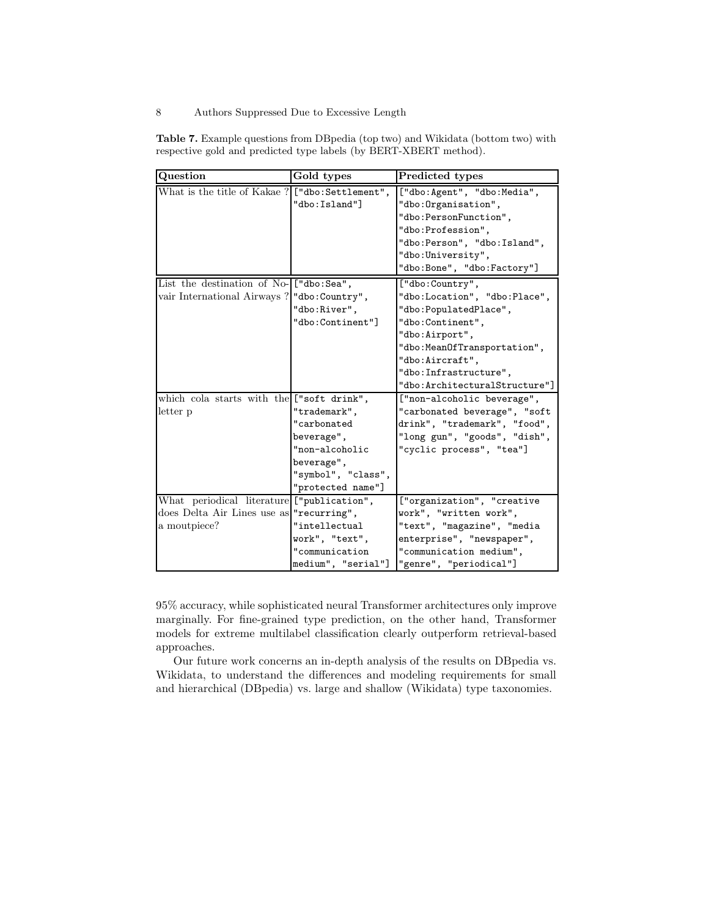## 8 Authors Suppressed Due to Excessive Length

<span id="page-7-0"></span>Table 7. Example questions from DBpedia (top two) and Wikidata (bottom two) with respective gold and predicted type labels (by BERT-XBERT method).

| Question                                         | Gold types         | Predicted types               |
|--------------------------------------------------|--------------------|-------------------------------|
| What is the title of Kakae ? ["dbo: Settlement", |                    | ["dbo:Agent", "dbo:Media",    |
|                                                  | "dbo: Island"]     | "dbo: Organisation",          |
|                                                  |                    | "dbo:PersonFunction",         |
|                                                  |                    | "dbo:Profession",             |
|                                                  |                    | "dbo: Person", "dbo: Island", |
|                                                  |                    | "dbo: University",            |
|                                                  |                    | "dbo:Bone", "dbo:Factory"]    |
| List the destination of No- ["dbo:Sea",          |                    | ["dbo:Country",               |
| vair International Airways ?   "dbo: Country",   |                    | "dbo:Location", "dbo:Place",  |
|                                                  | "dbo:River",       | "dbo:PopulatedPlace",         |
|                                                  | "dbo:Continent"]   | "dbo:Continent",              |
|                                                  |                    | "dbo:Airport",                |
|                                                  |                    | "dbo: MeanOfTransportation",  |
|                                                  |                    | "dbo:Aircraft",               |
|                                                  |                    | "dbo: Infrastructure",        |
|                                                  |                    | "dbo:ArchitecturalStructure"] |
| which cola starts with the ["soft drink",        |                    | ["non-alcoholic beverage",    |
| letter p                                         | "trademark",       | "carbonated beverage", "soft  |
|                                                  | "carbonated        | drink", "trademark", "food",  |
|                                                  | beverage",         | "long gun", "goods", "dish",  |
|                                                  | "non-alcoholic     | "cyclic process", "tea"]      |
|                                                  | beverage",         |                               |
|                                                  | "symbol", "class", |                               |
|                                                  | "protected name"]  |                               |
| What periodical literature ["publication",       |                    | ["organization", "creative    |
| does Delta Air Lines use as "recurring",         |                    | work", "written work",        |
| a moutpiece?                                     | "intellectual      | "text", "magazine", "media    |
|                                                  | work", "text",     | enterprise", "newspaper",     |
|                                                  | "communication     | "communication medium",       |
|                                                  | medium", "serial"] | "genre", "periodical"]        |

95% accuracy, while sophisticated neural Transformer architectures only improve marginally. For fine-grained type prediction, on the other hand, Transformer models for extreme multilabel classification clearly outperform retrieval-based approaches.

Our future work concerns an in-depth analysis of the results on DBpedia vs. Wikidata, to understand the differences and modeling requirements for small and hierarchical (DBpedia) vs. large and shallow (Wikidata) type taxonomies.